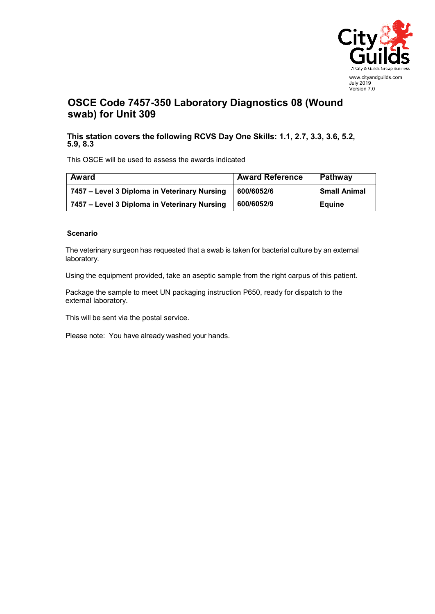

## **OSCE Code 7457-350 Laboratory Diagnostics 08 (Wound swab) for Unit 309**

## **This station covers the following RCVS Day One Skills: 1.1, 2.7, 3.3, 3.6, 5.2, 5.9, 8.3**

This OSCE will be used to assess the awards indicated

| Award                                        | <b>Award Reference</b> | Pathway             |
|----------------------------------------------|------------------------|---------------------|
| 7457 – Level 3 Diploma in Veterinary Nursing | 600/6052/6             | <b>Small Animal</b> |
| 7457 – Level 3 Diploma in Veterinary Nursing | 600/6052/9             | <b>Equine</b>       |

## **Scenario**

The veterinary surgeon has requested that a swab is taken for bacterial culture by an external laboratory.

Using the equipment provided, take an aseptic sample from the right carpus of this patient.

Package the sample to meet UN packaging instruction P650, ready for dispatch to the external laboratory.

This will be sent via the postal service.

Please note: You have already washed your hands.